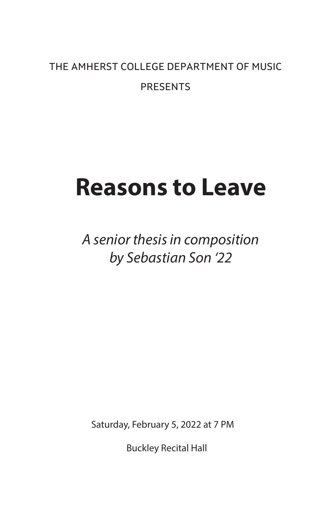# THE AMHERST COLLEGE DEPARTMENT OF MUSIC PRESENTS

# **Reasons to Leave**

*A senior thesis in composition by Sebastian Son '22*

Saturday, February 5, 2022 at 7 PM

Buckley Recital Hall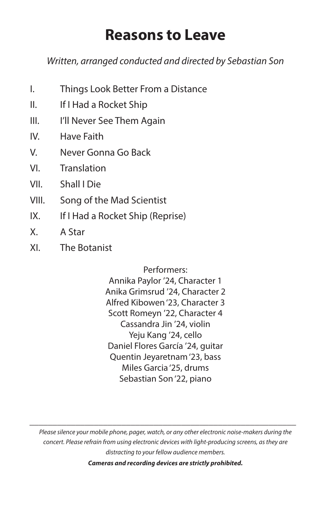# **Reasons to Leave**

*Written, arranged conducted and directed by Sebastian Son*

- I. Things Look Better From a Distance
- II. If I Had a Rocket Ship
- III. I'll Never See Them Again
- IV. Have Faith
- V. Never Gonna Go Back
- VI. Translation
- VII. Shall I Die
- VIII. Song of the Mad Scientist
- IX. If I Had a Rocket Ship (Reprise)
- X. A Star
- XI. The Botanist

Performers: Annika Paylor '24, Character 1 Anika Grimsrud '24, Character 2 Alfred Kibowen '23, Character 3 Scott Romeyn '22, Character 4 Cassandra Jin '24, violin Yeju Kang '24, cello Daniel Flores García '24, guitar Quentin Jeyaretnam '23, bass Miles Garcia '25, drums Sebastian Son '22, piano

*Please silence your mobile phone, pager, watch, or any other electronic noise-makers during the concert. Please refrain from using electronic devices with light-producing screens, as they are distracting to your fellow audience members.*

*\_\_\_\_\_\_\_\_\_\_\_\_\_\_\_\_\_\_\_\_\_\_\_\_\_\_\_\_\_\_\_\_\_\_\_\_\_\_\_\_\_\_\_\_\_\_\_\_\_\_\_\_\_\_\_\_\_\_*

*Cameras and recording devices are strictly prohibited.*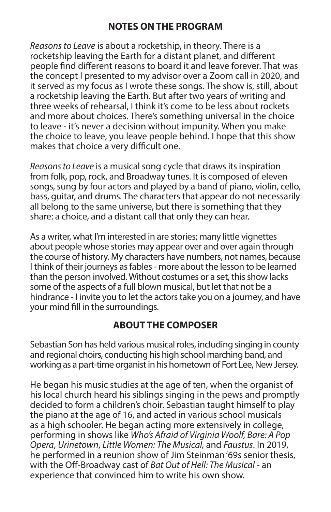#### **NOTES ON THE PROGRAM**

*Reasons to Leave* is about a rocketship, in theory. There is a rocketship leaving the Earth for a distant planet, and different people find different reasons to board it and leave forever. That was the concept I presented to my advisor over a Zoom call in 2020, and it served as my focus as I wrote these songs. The show is, still, about a rocketship leaving the Earth. But after two years of writing and three weeks of rehearsal, I think it's come to be less about rockets and more about choices. There's something universal in the choice to leave - it's never a decision without impunity. When you make the choice to leave, you leave people behind. I hope that this show makes that choice a very difficult one.

*Reasons to Leave* is a musical song cycle that draws its inspiration from folk, pop, rock, and Broadway tunes. It is composed of eleven songs, sung by four actors and played by a band of piano, violin, cello, bass, guitar, and drums. The characters that appear do not necessarily all belong to the same universe, but there is something that they share: a choice, and a distant call that only they can hear.

As a writer, what I'm interested in are stories; many little vignettes about people whose stories may appear over and over again through the course of history. My characters have numbers, not names, because I think of their journeys as fables - more about the lesson to be learned than the person involved. Without costumes or a set, this show lacks some of the aspects of a full blown musical, but let that not be a hindrance - I invite you to let the actors take you on a journey, and have your mind fill in the surroundings.

#### **ABOUT THE COMPOSER**

Sebastian Son has held various musical roles, including singing in county and regional choirs, conducting his high school marching band, and working as a part-time organist in his hometown of Fort Lee, New Jersey.

He began his music studies at the age of ten, when the organist of his local church heard his siblings singing in the pews and promptly decided to form a children's choir. Sebastian taught himself to play the piano at the age of 16, and acted in various school musicals as a high schooler. He began acting more extensively in college, performing in shows like *Who's Afraid of Virginia Woolf, Bare: A Pop Opera*, *Urinetown*, *Little Women: The Musical,* and *Faustus*. In 2019, he performed in a reunion show of Jim Steinman '69s senior thesis, with the Off-Broadway cast of *Bat Out of Hell: The Musical* - an experience that convinced him to write his own show.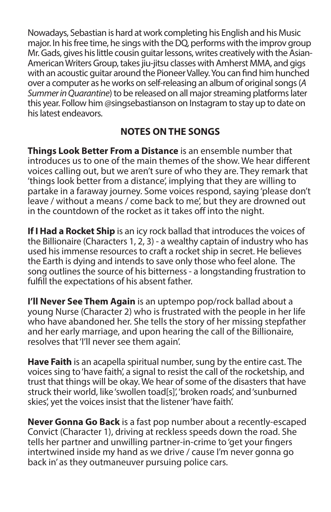Nowadays, Sebastian is hard at work completing his English and his Music major. In his free time, he sings with the DQ, performs with the improv group Mr. Gads, gives his little cousin guitar lessons, writes creatively with the Asian-American Writers Group, takes jiu-jitsu classes with Amherst MMA, and gigs with an acoustic guitar around the Pioneer Valley. You can find him hunched over a computer as he works on self-releasing an album of original songs (*A Summer in Quarantine*) to be released on all major streaming platforms later this year. Follow him @singsebastianson on Instagram to stay up to date on his latest endeavors.

## **NOTES ON THE SONGS**

**Things Look Better From a Distance** is an ensemble number that introduces us to one of the main themes of the show. We hear different voices calling out, but we aren't sure of who they are. They remark that 'things look better from a distance', implying that they are willing to partake in a faraway journey. Some voices respond, saying 'please don't leave / without a means / come back to me', but they are drowned out in the countdown of the rocket as it takes off into the night.

**If I Had a Rocket Ship** is an icy rock ballad that introduces the voices of the Billionaire (Characters 1, 2, 3) - a wealthy captain of industry who has used his immense resources to craft a rocket ship in secret. He believes the Earth is dying and intends to save only those who feel alone. The song outlines the source of his bitterness - a longstanding frustration to fulfill the expectations of his absent father.

**I'll Never See Them Again** is an uptempo pop/rock ballad about a young Nurse (Character 2) who is frustrated with the people in her life who have abandoned her. She tells the story of her missing stepfather and her early marriage, and upon hearing the call of the Billionaire, resolves that 'I'll never see them again'.

**Have Faith** is an acapella spiritual number, sung by the entire cast. The voices sing to 'have faith', a signal to resist the call of the rocketship, and trust that things will be okay. We hear of some of the disasters that have struck their world, like 'swollen toad[s]', 'broken roads', and 'sunburned skies', yet the voices insist that the listener 'have faith'.

**Never Gonna Go Back** is a fast pop number about a recently-escaped Convict (Character 1), driving at reckless speeds down the road. She tells her partner and unwilling partner-in-crime to 'get your fingers intertwined inside my hand as we drive / cause I'm never gonna go back in' as they outmaneuver pursuing police cars.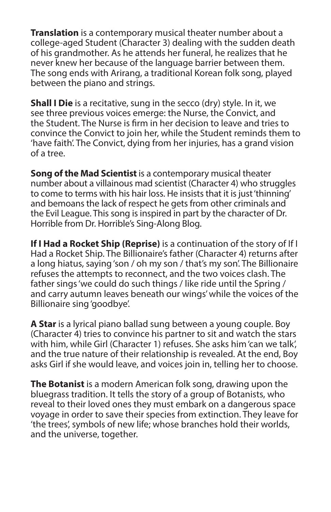**Translation** is a contemporary musical theater number about a college-aged Student (Character 3) dealing with the sudden death of his grandmother. As he attends her funeral, he realizes that he never knew her because of the language barrier between them. The song ends with Arirang, a traditional Korean folk song, played between the piano and strings.

**Shall I Die** is a recitative, sung in the secco (dry) style. In it, we see three previous voices emerge: the Nurse, the Convict, and the Student. The Nurse is firm in her decision to leave and tries to convince the Convict to join her, while the Student reminds them to 'have faith'. The Convict, dying from her injuries, has a grand vision of a tree.

**Song of the Mad Scientist** is a contemporary musical theater number about a villainous mad scientist (Character 4) who struggles to come to terms with his hair loss. He insists that it is just 'thinning' and bemoans the lack of respect he gets from other criminals and the Evil League. This song is inspired in part by the character of Dr. Horrible from Dr. Horrible's Sing-Along Blog.

**If I Had a Rocket Ship (Reprise)** is a continuation of the story of If I Had a Rocket Ship. The Billionaire's father (Character 4) returns after a long hiatus, saying 'son / oh my son / that's my son'. The Billionaire refuses the attempts to reconnect, and the two voices clash. The father sings 'we could do such things / like ride until the Spring / and carry autumn leaves beneath our wings' while the voices of the Billionaire sing 'goodbye'.

**A Star** is a lyrical piano ballad sung between a young couple. Boy (Character 4) tries to convince his partner to sit and watch the stars with him, while Girl (Character 1) refuses. She asks him 'can we talk', and the true nature of their relationship is revealed. At the end, Boy asks Girl if she would leave, and voices join in, telling her to choose.

**The Botanist** is a modern American folk song, drawing upon the bluegrass tradition. It tells the story of a group of Botanists, who reveal to their loved ones they must embark on a dangerous space voyage in order to save their species from extinction. They leave for 'the trees', symbols of new life; whose branches hold their worlds, and the universe, together.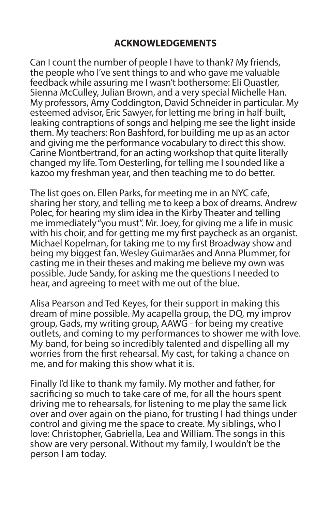### **ACKNOWLEDGEMENTS**

Can I count the number of people I have to thank? My friends, the people who I've sent things to and who gave me valuable feedback while assuring me I wasn't bothersome: Eli Quastler, Sienna McCulley, Julian Brown, and a very special Michelle Han. My professors, Amy Coddington, David Schneider in particular. My esteemed advisor, Eric Sawyer, for letting me bring in half-built, leaking contraptions of songs and helping me see the light inside them. My teachers: Ron Bashford, for building me up as an actor and giving me the performance vocabulary to direct this show. Carine Montbertrand, for an acting workshop that quite literally changed my life. Tom Oesterling, for telling me I sounded like a kazoo my freshman year, and then teaching me to do better.

The list goes on. Ellen Parks, for meeting me in an NYC cafe, sharing her story, and telling me to keep a box of dreams. Andrew Polec, for hearing my slim idea in the Kirby Theater and telling me immediately "you must". Mr. Joey, for giving me a life in music with his choir, and for getting me my first paycheck as an organist. Michael Kopelman, for taking me to my first Broadway show and being my biggest fan. Wesley Guimarães and Anna Plummer, for casting me in their theses and making me believe my own was possible. Jude Sandy, for asking me the questions I needed to hear, and agreeing to meet with me out of the blue.

Alisa Pearson and Ted Keyes, for their support in making this dream of mine possible. My acapella group, the DQ, my improv group, Gads, my writing group, AAWG - for being my creative outlets, and coming to my performances to shower me with love. My band, for being so incredibly talented and dispelling all my worries from the first rehearsal. My cast, for taking a chance on me, and for making this show what it is.

Finally I'd like to thank my family. My mother and father, for sacrificing so much to take care of me, for all the hours spent driving me to rehearsals, for listening to me play the same lick over and over again on the piano, for trusting I had things under control and giving me the space to create. My siblings, who I love: Christopher, Gabriella, Lea and William. The songs in this show are very personal. Without my family, I wouldn't be the person I am today.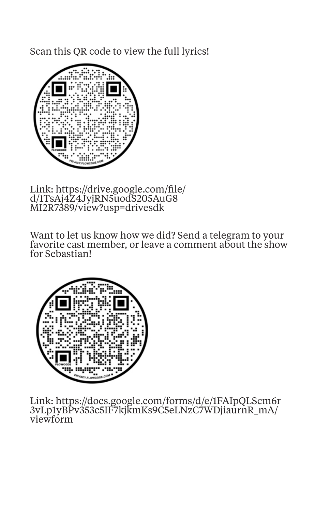Scan this QR code to view the full lyrics!



Link: https://drive.google.com/file/ d/1TsAj4Z4JyjRN5uodS205AuG8 MI2R7389/view?usp=drivesdk

Want to let us know how we did? Send a telegram to your favorite cast member, or leave a comment about the show for Sebastian!



Link: https://docs.google.com/forms/d/e/1FAIpQLScm6r 3vLp1yBPv353c5IF7kjkmKs9C5eLNzC7WDjiaurnR\_mA/ viewform